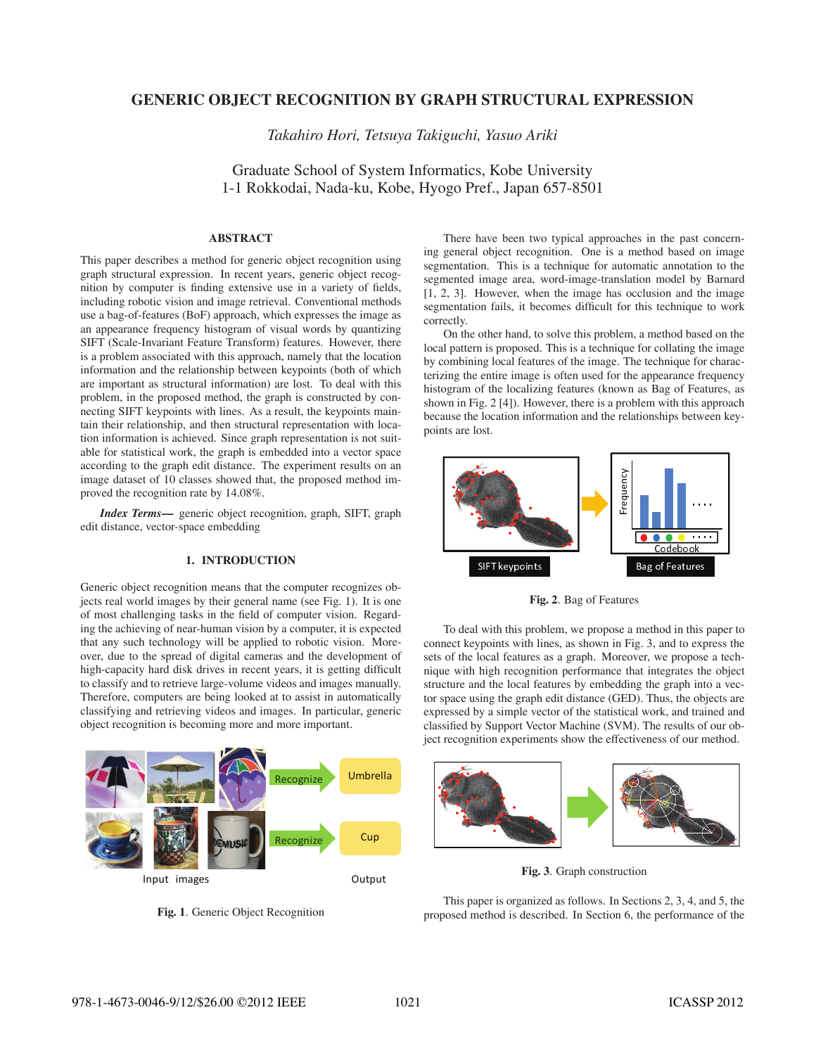# **GENERIC OBJECT RECOGNITION BY GRAPH STRUCTURAL EXPRESSION**

*Takahiro Hori, Tetsuya Takiguchi, Yasuo Ariki*

Graduate School of System Informatics, Kobe University 1-1 Rokkodai, Nada-ku, Kobe, Hyogo Pref., Japan 657-8501

# **ABSTRACT**

This paper describes a method for generic object recognition using graph structural expression. In recent years, generic object recognition by computer is finding extensive use in a variety of fields, including robotic vision and image retrieval. Conventional methods use a bag-of-features (BoF) approach, which expresses the image as an appearance frequency histogram of visual words by quantizing SIFT (Scale-Invariant Feature Transform) features. However, there is a problem associated with this approach, namely that the location information and the relationship between keypoints (both of which are important as structural information) are lost. To deal with this problem, in the proposed method, the graph is constructed by connecting SIFT keypoints with lines. As a result, the keypoints maintain their relationship, and then structural representation with location information is achieved. Since graph representation is not suitable for statistical work, the graph is embedded into a vector space according to the graph edit distance. The experiment results on an image dataset of 10 classes showed that, the proposed method improved the recognition rate by 14.08%.

*Index Terms***—** generic object recognition, graph, SIFT, graph edit distance, vector-space embedding

# **1. INTRODUCTION**

Generic object recognition means that the computer recognizes objects real world images by their general name (see Fig. 1). It is one of most challenging tasks in the field of computer vision. Regarding the achieving of near-human vision by a computer, it is expected that any such technology will be applied to robotic vision. Moreover, due to the spread of digital cameras and the development of high-capacity hard disk drives in recent years, it is getting difficult to classify and to retrieve large-volume videos and images manually. Therefore, computers are being looked at to assist in automatically classifying and retrieving videos and images. In particular, generic object recognition is becoming more and more important.



**Fig. 1**. Generic Object Recognition

There have been two typical approaches in the past concerning general object recognition. One is a method based on image segmentation. This is a technique for automatic annotation to the segmented image area, word-image-translation model by Barnard [1, 2, 3]. However, when the image has occlusion and the image segmentation fails, it becomes difficult for this technique to work correctly.

On the other hand, to solve this problem, a method based on the local pattern is proposed. This is a technique for collating the image by combining local features of the image. The technique for characterizing the entire image is often used for the appearance frequency histogram of the localizing features (known as Bag of Features, as shown in Fig. 2 [4]). However, there is a problem with this approach because the location information and the relationships between keypoints are lost.



**Fig. 2**. Bag of Features

To deal with this problem, we propose a method in this paper to connect keypoints with lines, as shown in Fig. 3, and to express the sets of the local features as a graph. Moreover, we propose a technique with high recognition performance that integrates the object structure and the local features by embedding the graph into a vector space using the graph edit distance (GED). Thus, the objects are expressed by a simple vector of the statistical work, and trained and classified by Support Vector Machine (SVM). The results of our object recognition experiments show the effectiveness of our method.



**Fig. 3**. Graph construction

This paper is organized as follows. In Sections 2, 3, 4, and 5, the proposed method is described. In Section 6, the performance of the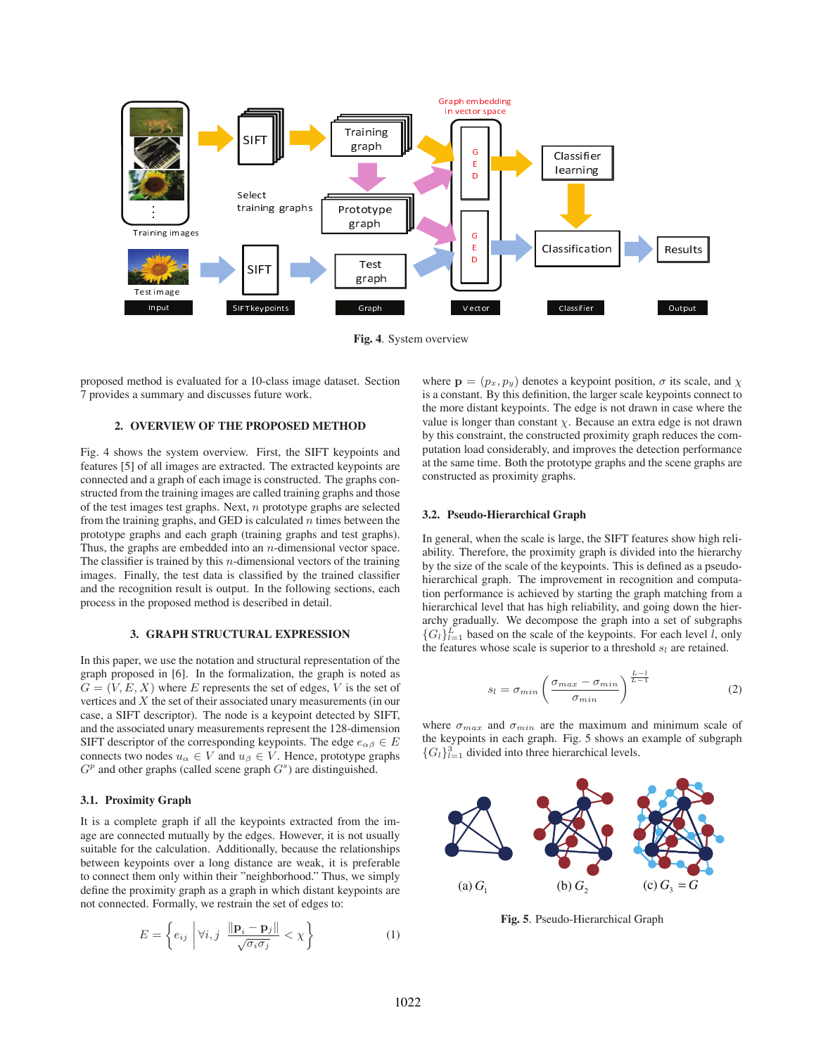

**Fig. 4**. System overview

proposed method is evaluated for a 10-class image dataset. Section 7 provides a summary and discusses future work.

# **2. OVERVIEW OF THE PROPOSED METHOD**

Fig. 4 shows the system overview. First, the SIFT keypoints and features [5] of all images are extracted. The extracted keypoints are connected and a graph of each image is constructed. The graphs constructed from the training images are called training graphs and those of the test images test graphs. Next,  $n$  prototype graphs are selected from the training graphs, and GED is calculated  $n$  times between the prototype graphs and each graph (training graphs and test graphs). Thus, the graphs are embedded into an  $n$ -dimensional vector space. The classifier is trained by this  $n$ -dimensional vectors of the training images. Finally, the test data is classified by the trained classifier and the recognition result is output. In the following sections, each process in the proposed method is described in detail.

# **3. GRAPH STRUCTURAL EXPRESSION**

In this paper, we use the notation and structural representation of the graph proposed in [6]. In the formalization, the graph is noted as  $G = (V, E, X)$  where E represents the set of edges, V is the set of vertices and X the set of their associated unary measurements (in our case, a SIFT descriptor). The node is a keypoint detected by SIFT, and the associated unary measurements represent the 128-dimension SIFT descriptor of the corresponding keypoints. The edge  $e_{\alpha\beta} \in E$ connects two nodes  $u_{\alpha} \in V$  and  $u_{\beta} \in V$ . Hence, prototype graphs  $G<sup>p</sup>$  and other graphs (called scene graph  $G<sup>s</sup>$ ) are distinguished.

#### **3.1. Proximity Graph**

It is a complete graph if all the keypoints extracted from the image are connected mutually by the edges. However, it is not usually suitable for the calculation. Additionally, because the relationships between keypoints over a long distance are weak, it is preferable to connect them only within their "neighborhood." Thus, we simply define the proximity graph as a graph in which distant keypoints are not connected. Formally, we restrain the set of edges to:

$$
E = \left\{ e_{ij} \middle| \forall i, j \middle| \frac{\|\mathbf{p}_i - \mathbf{p}_j\|}{\sqrt{\sigma_i \sigma_j}} < \chi \right\} \tag{1}
$$

where  $\mathbf{p} = (p_x, p_y)$  denotes a keypoint position,  $\sigma$  its scale, and  $\chi$ is a constant. By this definition, the larger scale keypoints connect to the more distant keypoints. The edge is not drawn in case where the value is longer than constant  $\chi$ . Because an extra edge is not drawn by this constraint, the constructed proximity graph reduces the computation load considerably, and improves the detection performance at the same time. Both the prototype graphs and the scene graphs are constructed as proximity graphs.

#### **3.2. Pseudo-Hierarchical Graph**

In general, when the scale is large, the SIFT features show high reliability. Therefore, the proximity graph is divided into the hierarchy by the size of the scale of the keypoints. This is defined as a pseudohierarchical graph. The improvement in recognition and computation performance is achieved by starting the graph matching from a hierarchical level that has high reliability, and going down the hierarchy gradually. We decompose the graph into a set of subgraphs  ${G_l}_{l=1}^L$  based on the scale of the keypoints. For each level  $\overline{l}$ , only the features whose scale is superior to a threshold  $s_l$  are retained.

$$
s_l = \sigma_{min} \left( \frac{\sigma_{max} - \sigma_{min}}{\sigma_{min}} \right)^{\frac{L-l}{L-1}}
$$
 (2)

where  $\sigma_{max}$  and  $\sigma_{min}$  are the maximum and minimum scale of the keypoints in each graph. Fig. 5 shows an example of subgraph  ${G_l}_{l=1}^3$  divided into three hierarchical levels.



**Fig. 5**. Pseudo-Hierarchical Graph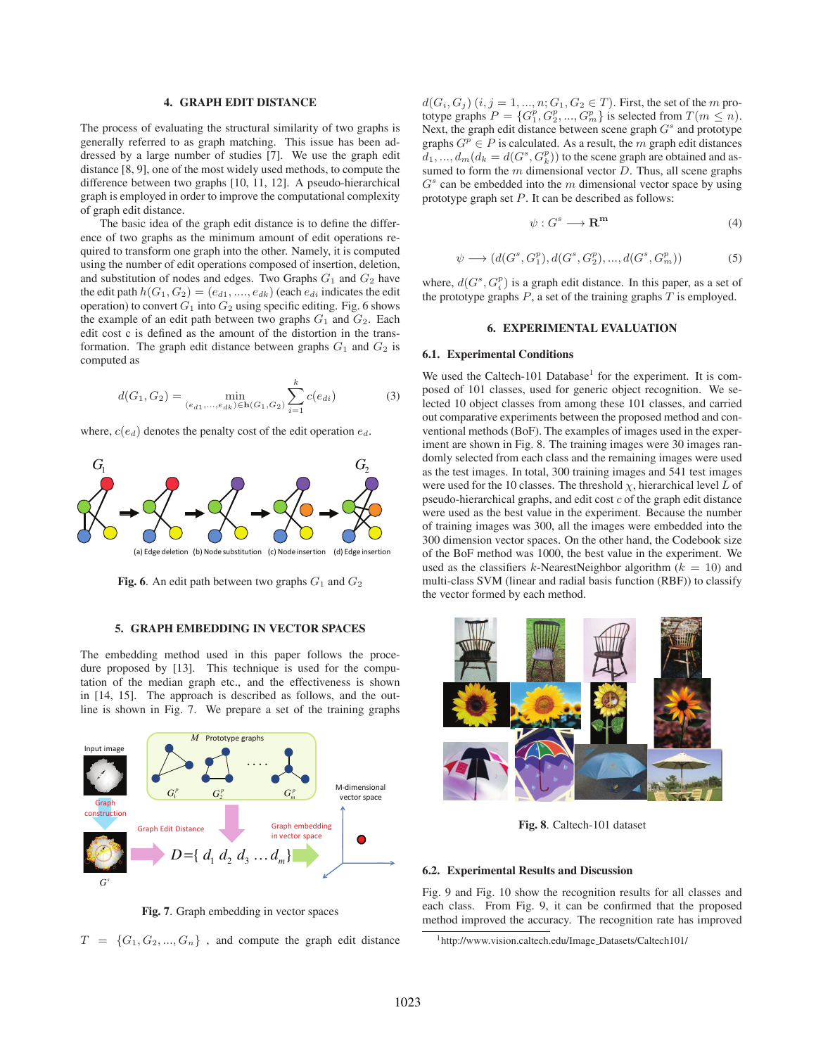## **4. GRAPH EDIT DISTANCE**

The process of evaluating the structural similarity of two graphs is generally referred to as graph matching. This issue has been addressed by a large number of studies [7]. We use the graph edit distance [8, 9], one of the most widely used methods, to compute the difference between two graphs [10, 11, 12]. A pseudo-hierarchical graph is employed in order to improve the computational complexity of graph edit distance.

The basic idea of the graph edit distance is to define the difference of two graphs as the minimum amount of edit operations required to transform one graph into the other. Namely, it is computed using the number of edit operations composed of insertion, deletion, and substitution of nodes and edges. Two Graphs  $G_1$  and  $G_2$  have the edit path  $h(G_1, G_2)=(e_{d1}, \ldots, e_{dk})$  (each  $e_{di}$  indicates the edit operation) to convert  $G_1$  into  $G_2$  using specific editing. Fig. 6 shows the example of an edit path between two graphs  $G_1$  and  $G_2$ . Each edit cost c is defined as the amount of the distortion in the transformation. The graph edit distance between graphs  $G_1$  and  $G_2$  is computed as

$$
d(G_1, G_2) = \min_{(e_{d1}, \dots, e_{dk}) \in \mathbf{h}(G_1, G_2)} \sum_{i=1}^k c(e_{di})
$$
 (3)

where, c(e*d*) denotes the penalty cost of the edit operation e*d*.



**Fig. 6**. An edit path between two graphs  $G_1$  and  $G_2$ 

#### **5. GRAPH EMBEDDING IN VECTOR SPACES**

The embedding method used in this paper follows the procedure proposed by [13]. This technique is used for the computation of the median graph etc., and the effectiveness is shown in [14, 15]. The approach is described as follows, and the outline is shown in Fig. 7. We prepare a set of the training graphs



**Fig. 7**. Graph embedding in vector spaces

 $T = \{G_1, G_2, ..., G_n\}$ , and compute the graph edit distance

 $d(G_i, G_j)$   $(i, j = 1, ..., n; G_1, G_2 \in T)$ . First, the set of the *m* prototype graphs  $P = \{G_1^p, G_2^p, ..., G_m^p\}$  is selected from  $T(m \leq n)$ . Next, the graph edit distance between scene graph G*<sup>s</sup>* and prototype graphs  $G^p \in P$  is calculated. As a result, the m graph edit distances  $d_1, ..., d_m$  ( $d_k = d(G^s, G_k^p)$ ) to the scene graph are obtained and assumed to form the  $m$  dimensional vector  $D$ . Thus, all scene graphs  $G<sup>s</sup>$  can be embedded into the  $m$  dimensional vector space by using prototype graph set P. It can be described as follows:

$$
\psi: G^s \longrightarrow \mathbf{R}^{\mathbf{m}} \tag{4}
$$

$$
\psi \longrightarrow (d(G^s, G_1^p), d(G^s, G_2^p), ..., d(G^s, G_m^p))
$$
\n(5)

where,  $d(G^s, G_i^p)$  is a graph edit distance. In this paper, as a set of the prototype graphs  $P$ , a set of the training graphs  $T$  is employed.

### **6. EXPERIMENTAL EVALUATION**

#### **6.1. Experimental Conditions**

We used the Caltech-101 Database<sup>1</sup> for the experiment. It is composed of 101 classes, used for generic object recognition. We selected 10 object classes from among these 101 classes, and carried out comparative experiments between the proposed method and conventional methods (BoF). The examples of images used in the experiment are shown in Fig. 8. The training images were 30 images randomly selected from each class and the remaining images were used as the test images. In total, 300 training images and 541 test images were used for the 10 classes. The threshold  $\chi$ , hierarchical level L of pseudo-hierarchical graphs, and edit cost  $c$  of the graph edit distance were used as the best value in the experiment. Because the number of training images was 300, all the images were embedded into the 300 dimension vector spaces. On the other hand, the Codebook size of the BoF method was 1000, the best value in the experiment. We used as the classifiers k-NearestNeighbor algorithm  $(k = 10)$  and multi-class SVM (linear and radial basis function (RBF)) to classify the vector formed by each method.



**Fig. 8**. Caltech-101 dataset

#### **6.2. Experimental Results and Discussion**

Fig. 9 and Fig. 10 show the recognition results for all classes and each class. From Fig. 9, it can be confirmed that the proposed method improved the accuracy. The recognition rate has improved

<sup>1</sup>http://www.vision.caltech.edu/Image Datasets/Caltech101/